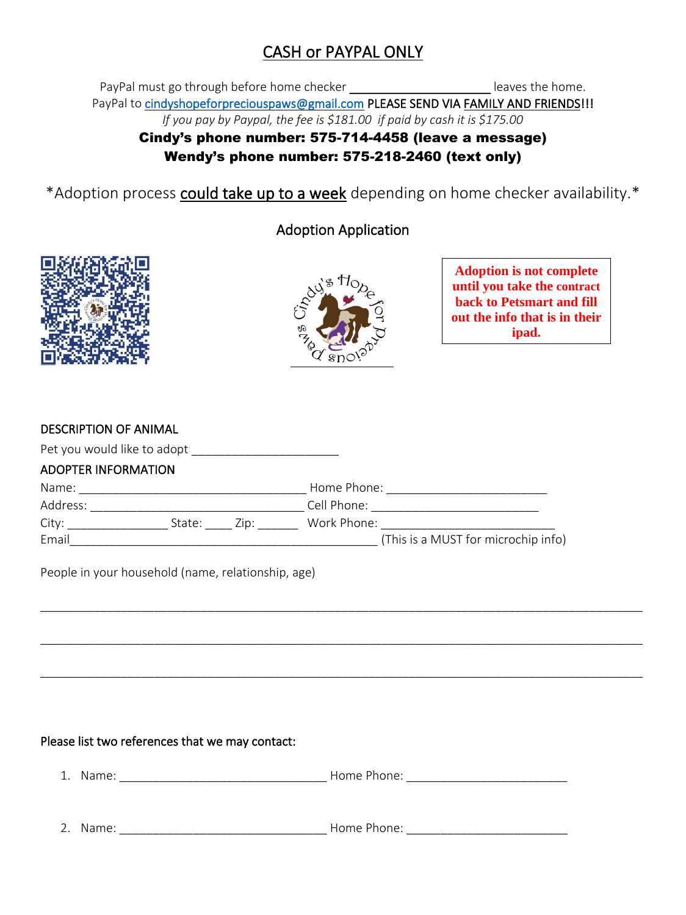# CASH or PAYPAL ONLY

PayPal must go through before home checker **the set of the same constant of the same** leaves the home. PayPal to [cindyshopeforpreciouspaws@gmail.com](mailto:cindyshopeforpreciouspaws@gmail.com) PLEASE SEND VIA FAMILY AND FRIENDS!!! *If you pay by Paypal, the fee is \$181.00 if paid by cash it is \$175.00*

## Cindy's phone number: 575-714-4458 (leave a message) Wendy's phone number: 575-218-2460 (text only)

\*Adoption process could take up to a week depending on home checker availability.\*

## Adoption Application





\_\_\_\_\_\_\_\_\_\_\_\_\_\_\_\_\_\_\_\_\_\_\_\_\_\_\_\_\_\_\_\_\_\_\_\_\_\_\_\_\_\_\_\_\_\_\_\_\_\_\_\_\_\_\_\_\_\_\_\_\_\_\_\_\_\_\_\_\_\_\_\_\_\_\_\_\_\_\_\_\_\_\_\_\_\_\_\_\_\_

\_\_\_\_\_\_\_\_\_\_\_\_\_\_\_\_\_\_\_\_\_\_\_\_\_\_\_\_\_\_\_\_\_\_\_\_\_\_\_\_\_\_\_\_\_\_\_\_\_\_\_\_\_\_\_\_\_\_\_\_\_\_\_\_\_\_\_\_\_\_\_\_\_\_\_\_\_\_\_\_\_\_\_\_\_\_\_\_\_\_

\_\_\_\_\_\_\_\_\_\_\_\_\_\_\_\_\_\_\_\_\_\_\_\_\_\_\_\_\_\_\_\_\_\_\_\_\_\_\_\_\_\_\_\_\_\_\_\_\_\_\_\_\_\_\_\_\_\_\_\_\_\_\_\_\_\_\_\_\_\_\_\_\_\_\_\_\_\_\_\_\_\_\_\_\_\_\_\_\_\_

**Adoption is not complete until you take the contract back to Petsmart and fill out the info that is in their ipad.**

| <b>DESCRIPTION OF ANIMAL</b> |  |
|------------------------------|--|
|------------------------------|--|

| Pet you would like to adopt |             |                                     |
|-----------------------------|-------------|-------------------------------------|
| <b>ADOPTER INFORMATION</b>  |             |                                     |
| Name:                       |             | Home Phone:                         |
| Address:                    |             | Cell Phone:                         |
| City:                       | State: Zip: | Work Phone:                         |
| Email                       |             | (This is a MUST for microchip info) |

People in your household (name, relationship, age)

#### Please list two references that we may contact:

|  | ∽<br>Home<br>$n \wedge$<br>∶⊶ا<br>______________<br>______________ |
|--|--------------------------------------------------------------------|
|  |                                                                    |
|  |                                                                    |

2. Name: \_\_\_\_\_\_\_\_\_\_\_\_\_\_\_\_\_\_\_\_\_\_\_\_\_\_\_\_\_\_\_ Home Phone: \_\_\_\_\_\_\_\_\_\_\_\_\_\_\_\_\_\_\_\_\_\_\_\_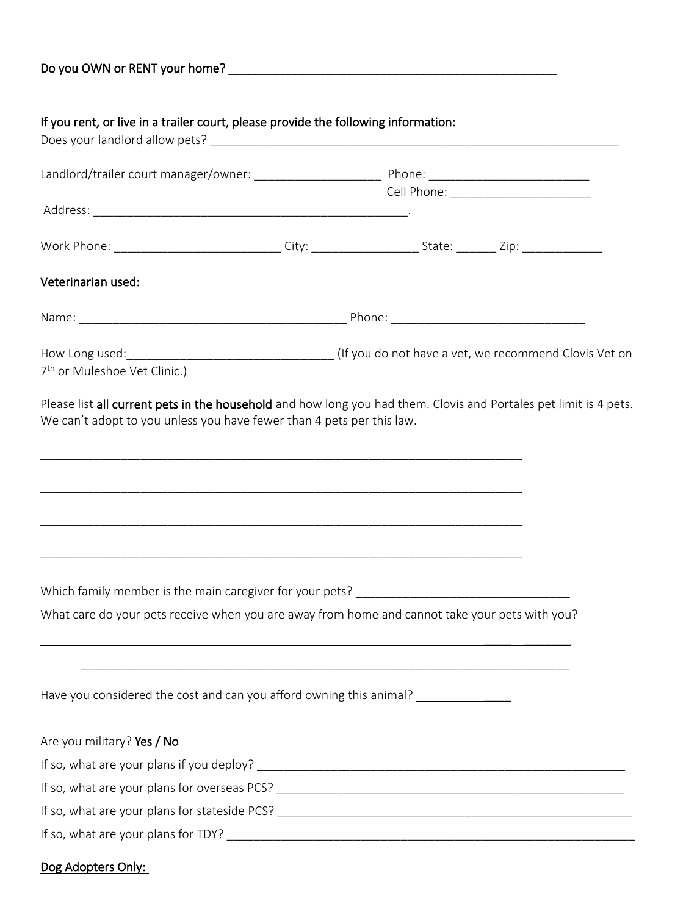| Do you OWN or RENT your home? |  |  |
|-------------------------------|--|--|
|                               |  |  |

### If you rent, or live in a trailer court, please provide the following information:

| Veterinarian used:                                                                                                                                                                                       |  |  |
|----------------------------------------------------------------------------------------------------------------------------------------------------------------------------------------------------------|--|--|
|                                                                                                                                                                                                          |  |  |
| 7 <sup>th</sup> or Muleshoe Vet Clinic.)                                                                                                                                                                 |  |  |
| Please list all current pets in the household and how long you had them. Clovis and Portales pet limit is 4 pets.<br>We can't adopt to you unless you have fewer than 4 pets per this law.               |  |  |
| ,我们的人们就会在这里的人们,我们也不会在这里的人们,我们也不会在这里的人们,我们也不会在这里的人们,我们也不会在这里的人们,我们也不会在这里的人们,我们也不会<br><u> 1989 - Johann John Harry Harry Harry Harry Harry Harry Harry Harry Harry Harry Harry Harry Harry Harry Harry</u> |  |  |
| What care do your pets receive when you are away from home and cannot take your pets with you?                                                                                                           |  |  |
|                                                                                                                                                                                                          |  |  |
| Have you considered the cost and can you afford owning this animal? ____________                                                                                                                         |  |  |
| Are you military? Yes / No                                                                                                                                                                               |  |  |
|                                                                                                                                                                                                          |  |  |
|                                                                                                                                                                                                          |  |  |
|                                                                                                                                                                                                          |  |  |
|                                                                                                                                                                                                          |  |  |

### Dog Adopters Only: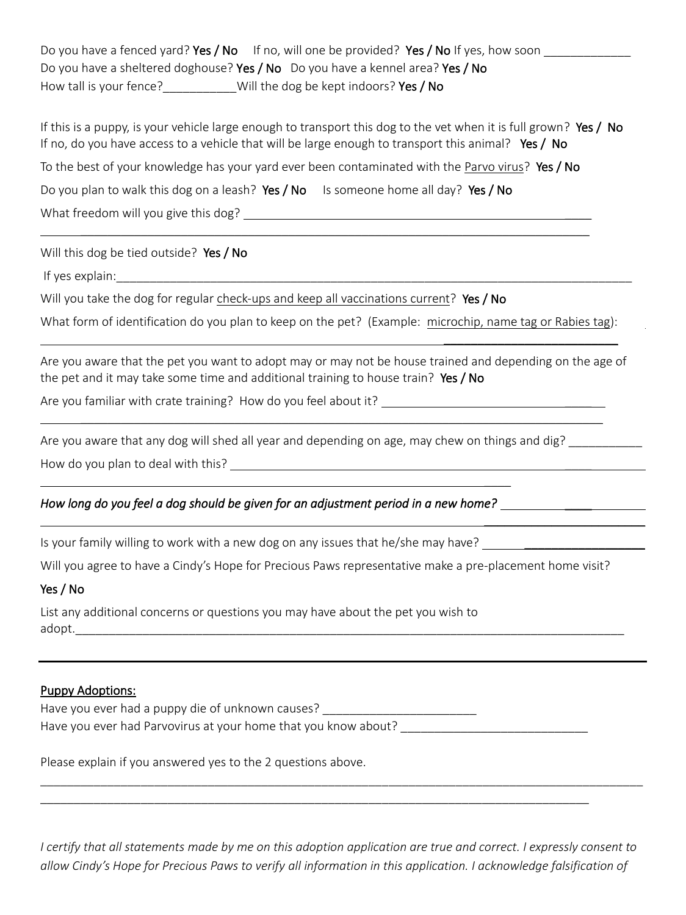Do you have a fenced yard? Yes / No If no, will one be provided? Yes / No If yes, how soon Do you have a sheltered doghouse? Yes / No Do you have a kennel area? Yes / No How tall is your fence? Will the dog be kept indoors? Yes / No

If this is a puppy, is your vehicle large enough to transport this dog to the vet when it is full grown? Yes / No If no, do you have access to a vehicle that will be large enough to transport this animal? Yes / No To the best of your knowledge has your yard ever been contaminated with the Parvo virus? Yes / No Do you plan to walk this dog on a leash? Yes / No Is someone home all day? Yes / No What freedom will you give this dog?

 $\mathcal{L}_\text{max}$  and  $\mathcal{L}_\text{max}$  and  $\mathcal{L}_\text{max}$  and  $\mathcal{L}_\text{max}$  and  $\mathcal{L}_\text{max}$  and  $\mathcal{L}_\text{max}$ 

Will this dog be tied outside? Yes / No

If yes explain:

Will you take the dog for regular check-ups and keep all vaccinations current? Yes / No

What form of identification do you plan to keep on the pet? (Example: microchip, name tag or Rabies tag):

Are you aware that the pet you want to adopt may or may not be house trained and depending on the age of the pet and it may take some time and additional training to house train? Yes / No

 $\mathcal{L} = \{ \mathcal{L} = \{ \mathcal{L} = \mathcal{L} \} \cup \{ \mathcal{L} = \{ \mathcal{L} = \mathcal{L} \} \cup \{ \mathcal{L} = \{ \mathcal{L} = \mathcal{L} = \mathcal{L} \} \cup \{ \mathcal{L} = \{ \mathcal{L} = \mathcal{L} = \mathcal{L} = \mathcal{L} = \mathcal{L} \} \cup \{ \mathcal{L} = \{ \mathcal{L} = \mathcal{L} = \mathcal{L} = \mathcal{L} = \mathcal{L} = \mathcal{L} \} \cup \{ \mathcal{L} = \{ \mathcal{L}$ 

\_\_\_\_\_\_\_\_\_\_\_\_\_\_\_\_\_\_\_\_\_\_\_\_\_\_

 $\overline{\phantom{a}}$ 

Are you familiar with crate training? How do you feel about it?

Are you aware that any dog will shed all year and depending on age, may chew on things and dig?

How do you plan to deal with this? **Example 20** Figures 1.1 Au to 2.1 Au to 2.1 Au to 2.1 Au to 2.1 Au to 2.1 Au to 2.1 Au to 2.1 Au to 2.1 Au to 2.1 Au to 2.1 Au to 2.1 Au to 2.1 Au to 2.1 Au to 2.1 Au to 2.1 Au to 2.1 Au

#### *How long do you feel a dog should be given for an adjustment period in a new home?* \_\_\_\_

Is your family willing to work with a new dog on any issues that he/she may have? \_\_\_\_\_\_\_\_\_\_\_\_\_\_\_\_\_\_

Will you agree to have a Cindy's Hope for Precious Paws representative make a pre-placement home visit?

#### Yes / No

List any additional concerns or questions you may have about the pet you wish to adopt.\_\_\_\_\_\_\_\_\_\_\_\_\_\_\_\_\_\_\_\_\_\_\_\_\_\_\_\_\_\_\_\_\_\_\_\_\_\_\_\_\_\_\_\_\_\_\_\_\_\_\_\_\_\_\_\_\_\_\_\_\_\_\_\_\_\_\_\_\_\_\_\_\_\_\_\_\_\_\_\_\_\_

#### Puppy Adoptions:

Have you ever had a puppy die of unknown causes? Have you ever had Parvovirus at your home that you know about?

Please explain if you answered yes to the 2 questions above.

*I certify that all statements made by me on this adoption application are true and correct. I expressly consent to allow Cindy's Hope for Precious Paws to verify all information in this application. I acknowledge falsification of* 

\_\_\_\_\_\_\_\_\_\_\_\_\_\_\_\_\_\_\_\_\_\_\_\_\_\_\_\_\_\_\_\_\_\_\_\_\_\_\_\_\_\_\_\_\_\_\_\_\_\_\_\_\_\_\_\_\_\_\_\_\_\_\_\_\_\_\_\_\_\_\_\_\_\_\_\_\_\_\_\_\_\_\_\_\_\_\_\_\_\_

\_\_\_\_\_\_\_\_\_\_\_\_\_\_\_\_\_\_\_\_\_\_\_\_\_\_\_\_\_\_\_\_\_\_\_\_\_\_\_\_\_\_\_\_\_\_\_\_\_\_\_\_\_\_\_\_\_\_\_\_\_\_\_\_\_\_\_\_\_\_\_\_\_\_\_\_\_\_\_\_\_\_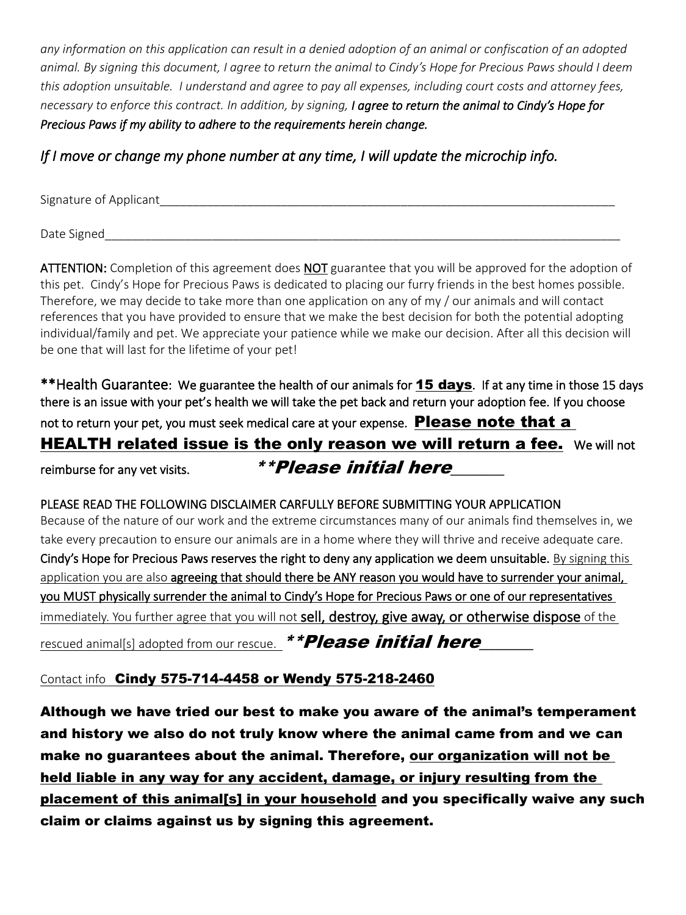*any information on this application can result in a denied adoption of an animal or confiscation of an adopted animal. By signing this document, I agree to return the animal to Cindy's Hope for Precious Paws should I deem this adoption unsuitable. I understand and agree to pay all expenses, including court costs and attorney fees, necessary to enforce this contract. In addition, by signing, I agree to return the animal to Cindy's Hope for Precious Paws if my ability to adhere to the requirements herein change.* 

### *If I move or change my phone number at any time, I will update the microchip info.*

Signature of Applicant

Date Signed and the state of the state of the state of the state of the state of the state of the state of the state of the state of the state of the state of the state of the state of the state of the state of the state o

ATTENTION: Completion of this agreement does NOT guarantee that you will be approved for the adoption of this pet. Cindy's Hope for Precious Paws is dedicated to placing our furry friends in the best homes possible. Therefore, we may decide to take more than one application on any of my / our animals and will contact references that you have provided to ensure that we make the best decision for both the potential adopting individual/family and pet. We appreciate your patience while we make our decision. After all this decision will be one that will last for the lifetime of your pet!

\*\*Health Guarantee: We guarantee the health of our animals for **15 days**. If at any time in those 15 days there is an issue with your pet's health we will take the pet back and return your adoption fee. If you choose not to return your pet, you must seek medical care at your expense. **Please note that a HEALTH related issue is the only reason we will return a fee.** We will not reimburse for any vet visits.  $\bullet$  **\*\*Please initial here** 

PLEASE READ THE FOLLOWING DISCLAIMER CARFULLY BEFORE SUBMITTING YOUR APPLICATION Because of the nature of our work and the extreme circumstances many of our animals find themselves in, we take every precaution to ensure our animals are in a home where they will thrive and receive adequate care. Cindy's Hope for Precious Paws reserves the right to deny any application we deem unsuitable. By signing this application you are also agreeing that should there be ANY reason you would have to surrender your animal, you MUST physically surrender the animal to Cindy's Hope for Precious Paws or one of our representatives immediately. You further agree that you will not sell, destroy, give away, or otherwise dispose of the rescued animal[s] adopted from our rescue.  $*$   $*$  Please initial here

### Contact info Cindy 575-714-4458 or Wendy 575-218-2460

Although we have tried our best to make you aware of the animal's temperament and history we also do not truly know where the animal came from and we can make no guarantees about the animal. Therefore, our organization will not be held liable in any way for any accident, damage, or injury resulting from the placement of this animal[s] in your household and you specifically waive any such claim or claims against us by signing this agreement.